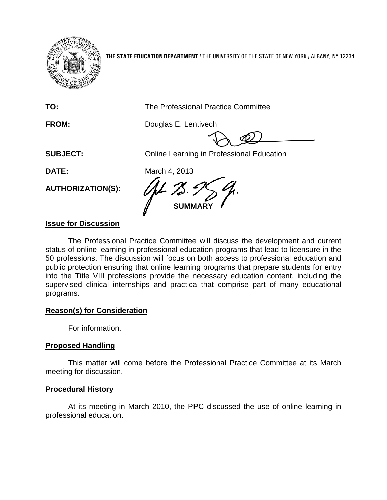

**THE STATE EDUCATION DEPARTMENT** / THE UNIVERSITY OF THE STATE OF NEW YORK / ALBANY, NY 12234

**TO:** The Professional Practice Committee

**FROM:** Douglas E. Lentivech

**SUBJECT:** Online Learning in Professional Education

**DATE:** March 4, 2013

**AUTHORIZATION(S):**

**MARY** 

# **Issue for Discussion**

The Professional Practice Committee will discuss the development and current status of online learning in professional education programs that lead to licensure in the 50 professions. The discussion will focus on both access to professional education and public protection ensuring that online learning programs that prepare students for entry into the Title VIII professions provide the necessary education content, including the supervised clinical internships and practica that comprise part of many educational programs.

## **Reason(s) for Consideration**

For information.

## **Proposed Handling**

This matter will come before the Professional Practice Committee at its March meeting for discussion.

## **Procedural History**

At its meeting in March 2010, the PPC discussed the use of online learning in professional education.